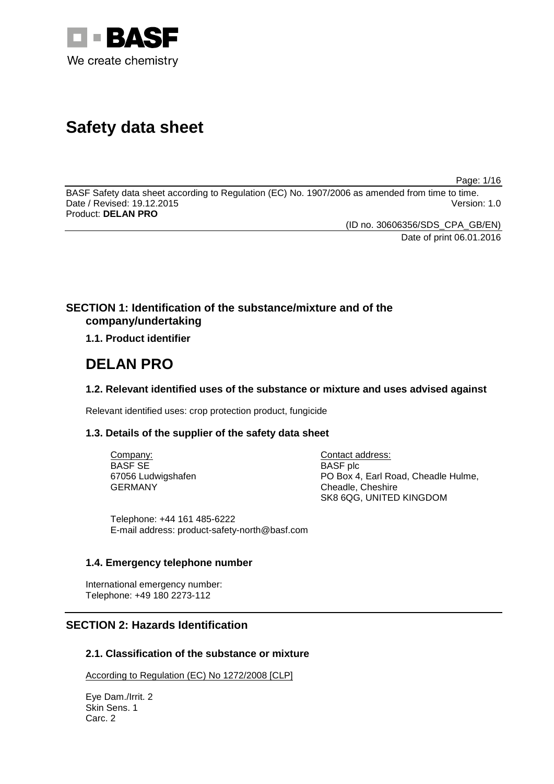

# **Safety data sheet**

Page: 1/16

BASF Safety data sheet according to Regulation (EC) No. 1907/2006 as amended from time to time. Date / Revised: 19.12.2015 Product: **DELAN PRO**

(ID no. 30606356/SDS\_CPA\_GB/EN)

Date of print 06.01.2016

# **SECTION 1: Identification of the substance/mixture and of the company/undertaking**

**1.1. Product identifier**

# **DELAN PRO**

# **1.2. Relevant identified uses of the substance or mixture and uses advised against**

Relevant identified uses: crop protection product, fungicide

# **1.3. Details of the supplier of the safety data sheet**

Company: BASF SE 67056 Ludwigshafen GERMANY

Contact address: BASF plc PO Box 4, Earl Road, Cheadle Hulme, Cheadle, Cheshire SK8 6QG, UNITED KINGDOM

Telephone: +44 161 485-6222 E-mail address: product-safety-north@basf.com

# **1.4. Emergency telephone number**

International emergency number: Telephone: +49 180 2273-112

# **SECTION 2: Hazards Identification**

# **2.1. Classification of the substance or mixture**

According to Regulation (EC) No 1272/2008 [CLP]

Eye Dam./Irrit. 2 Skin Sens. 1 Carc. 2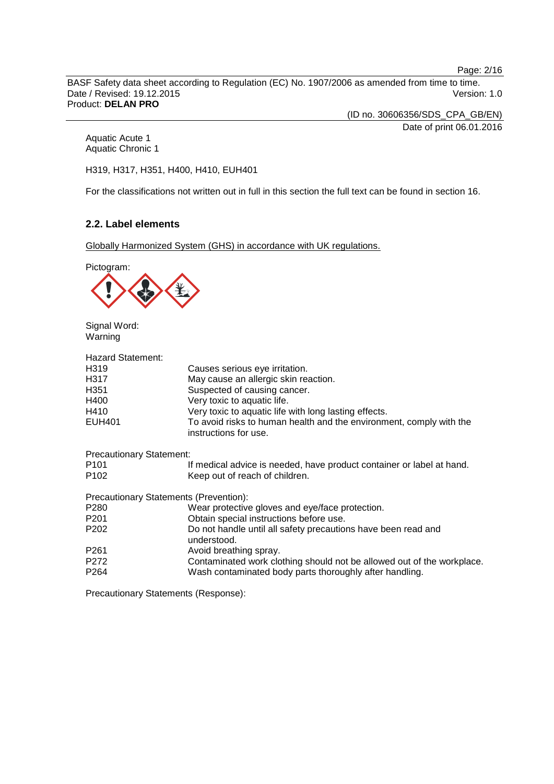Page: 2/16

BASF Safety data sheet according to Regulation (EC) No. 1907/2006 as amended from time to time. Date / Revised: 19.12.2015 Product: **DELAN PRO**

(ID no. 30606356/SDS\_CPA\_GB/EN)

Date of print 06.01.2016

Aquatic Acute 1 Aquatic Chronic 1

H319, H317, H351, H400, H410, EUH401

For the classifications not written out in full in this section the full text can be found in section 16.

# **2.2. Label elements**

Globally Harmonized System (GHS) in accordance with UK regulations.



Signal Word: Warning

| <b>Hazard Statement:</b>                      |                                                                                              |
|-----------------------------------------------|----------------------------------------------------------------------------------------------|
| H319                                          | Causes serious eye irritation.                                                               |
| H317                                          | May cause an allergic skin reaction.                                                         |
| H351                                          | Suspected of causing cancer.                                                                 |
| H400                                          | Very toxic to aquatic life.                                                                  |
| H410                                          | Very toxic to aquatic life with long lasting effects.                                        |
| EUH401                                        | To avoid risks to human health and the environment, comply with the<br>instructions for use. |
| <b>Precautionary Statement:</b>               |                                                                                              |
| P101                                          | If medical advice is needed, have product container or label at hand.                        |
| P102                                          | Keep out of reach of children.                                                               |
| <b>Precautionary Statements (Prevention):</b> |                                                                                              |
| P280                                          | Wear protective gloves and eye/face protection.                                              |
| P201                                          | Obtain special instructions before use.                                                      |
| P202                                          | Do not handle until all safety precautions have been read and<br>understood.                 |
| P261                                          | Avoid breathing spray.                                                                       |
| P272                                          | Contaminated work clothing should not be allowed out of the workplace.                       |
| P264                                          | Wash contaminated body parts thoroughly after handling.                                      |
|                                               |                                                                                              |

Precautionary Statements (Response):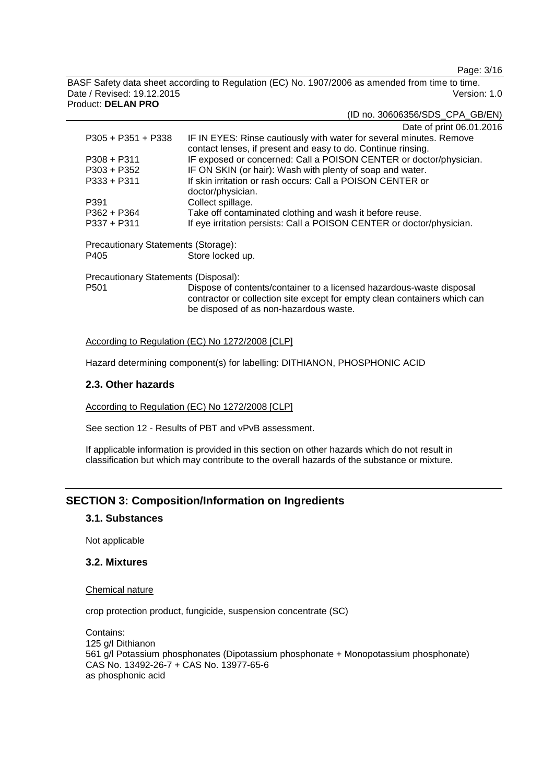Page: 3/16

BASF Safety data sheet according to Regulation (EC) No. 1907/2006 as amended from time to time. Date / Revised: 19.12.2015 Version: 1.0 Product: **DELAN PRO**

(ID no. 30606356/SDS\_CPA\_GB/EN)

|                                      | Date of print 06.01.2016                                                                                                                                                                    |
|--------------------------------------|---------------------------------------------------------------------------------------------------------------------------------------------------------------------------------------------|
| $P305 + P351 + P338$                 | IF IN EYES: Rinse cautiously with water for several minutes. Remove<br>contact lenses, if present and easy to do. Continue rinsing.                                                         |
| $P308 + P311$                        | IF exposed or concerned: Call a POISON CENTER or doctor/physician.                                                                                                                          |
| $P303 + P352$                        | IF ON SKIN (or hair): Wash with plenty of soap and water.                                                                                                                                   |
| $P333 + P311$                        | If skin irritation or rash occurs: Call a POISON CENTER or                                                                                                                                  |
|                                      | doctor/physician.                                                                                                                                                                           |
| P391                                 | Collect spillage.                                                                                                                                                                           |
| $P362 + P364$                        | Take off contaminated clothing and wash it before reuse.                                                                                                                                    |
| $P337 + P311$                        | If eye irritation persists: Call a POISON CENTER or doctor/physician.                                                                                                                       |
| Precautionary Statements (Storage):  |                                                                                                                                                                                             |
| P405                                 | Store locked up.                                                                                                                                                                            |
| Precautionary Statements (Disposal): |                                                                                                                                                                                             |
| P <sub>501</sub>                     | Dispose of contents/container to a licensed hazardous-waste disposal<br>contractor or collection site except for empty clean containers which can<br>be disposed of as non-hazardous waste. |

#### According to Regulation (EC) No 1272/2008 [CLP]

Hazard determining component(s) for labelling: DITHIANON, PHOSPHONIC ACID

#### **2.3. Other hazards**

According to Regulation (EC) No 1272/2008 [CLP]

See section 12 - Results of PBT and vPvB assessment.

If applicable information is provided in this section on other hazards which do not result in classification but which may contribute to the overall hazards of the substance or mixture.

# **SECTION 3: Composition/Information on Ingredients**

### **3.1. Substances**

Not applicable

### **3.2. Mixtures**

Chemical nature

crop protection product, fungicide, suspension concentrate (SC)

Contains: 125 g/l Dithianon 561 g/l Potassium phosphonates (Dipotassium phosphonate + Monopotassium phosphonate) CAS No. 13492-26-7 + CAS No. 13977-65-6 as phosphonic acid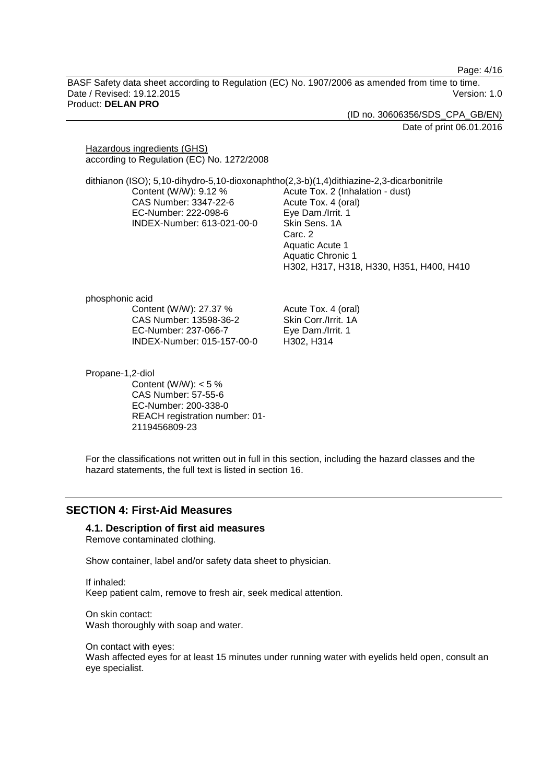Page: 4/16

BASF Safety data sheet according to Regulation (EC) No. 1907/2006 as amended from time to time. Date / Revised: 19.12.2015 Version: 1.0 Product: **DELAN PRO**

> (ID no. 30606356/SDS\_CPA\_GB/EN) Date of print 06.01.2016

Hazardous ingredients (GHS) according to Regulation (EC) No. 1272/2008

dithianon (ISO); 5,10-dihydro-5,10-dioxonaphtho(2,3-b)(1,4)dithiazine-2,3-dicarbonitrile Content (W/W): 9.12 % CAS Number: 3347-22-6 EC-Number: 222-098-6 INDEX-Number: 613-021-00-0 Acute Tox. 2 (Inhalation - dust) Acute Tox. 4 (oral) Eye Dam./Irrit. 1 Skin Sens. 1A Carc. 2 Aquatic Acute 1

> Aquatic Chronic 1 H302, H317, H318, H330, H351, H400, H410

phosphonic acid

Content (W/W): 27.37 % CAS Number: 13598-36-2 EC-Number: 237-066-7 INDEX-Number: 015-157-00-0 Acute Tox. 4 (oral) Skin Corr./Irrit. 1A Eye Dam./Irrit. 1 H302, H314

Propane-1,2-diol

Content (W/W):  $< 5 \%$ CAS Number: 57-55-6 EC-Number: 200-338-0 REACH registration number: 01- 2119456809-23

For the classifications not written out in full in this section, including the hazard classes and the hazard statements, the full text is listed in section 16.

# **SECTION 4: First-Aid Measures**

#### **4.1. Description of first aid measures**

Remove contaminated clothing.

Show container, label and/or safety data sheet to physician.

If inhaled: Keep patient calm, remove to fresh air, seek medical attention.

On skin contact: Wash thoroughly with soap and water.

On contact with eyes: Wash affected eyes for at least 15 minutes under running water with eyelids held open, consult an eye specialist.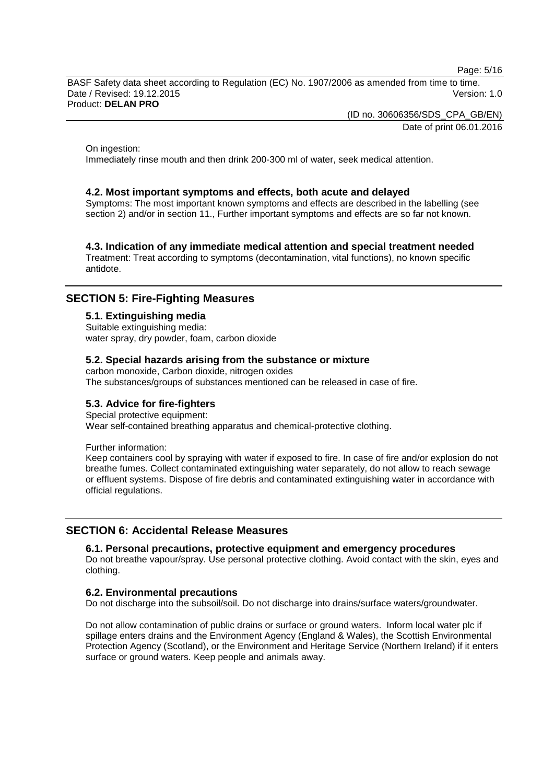Page: 5/16

BASF Safety data sheet according to Regulation (EC) No. 1907/2006 as amended from time to time. Date / Revised: 19.12.2015 Version: 1.0 Product: **DELAN PRO**

(ID no. 30606356/SDS\_CPA\_GB/EN)

Date of print 06.01.2016

On ingestion:

Immediately rinse mouth and then drink 200-300 ml of water, seek medical attention.

#### **4.2. Most important symptoms and effects, both acute and delayed**

Symptoms: The most important known symptoms and effects are described in the labelling (see section 2) and/or in section 11., Further important symptoms and effects are so far not known.

#### **4.3. Indication of any immediate medical attention and special treatment needed**

Treatment: Treat according to symptoms (decontamination, vital functions), no known specific antidote.

# **SECTION 5: Fire-Fighting Measures**

#### **5.1. Extinguishing media**

Suitable extinguishing media: water spray, dry powder, foam, carbon dioxide

#### **5.2. Special hazards arising from the substance or mixture**

carbon monoxide, Carbon dioxide, nitrogen oxides The substances/groups of substances mentioned can be released in case of fire.

#### **5.3. Advice for fire-fighters**

Special protective equipment:

Wear self-contained breathing apparatus and chemical-protective clothing.

Further information:

Keep containers cool by spraying with water if exposed to fire. In case of fire and/or explosion do not breathe fumes. Collect contaminated extinguishing water separately, do not allow to reach sewage or effluent systems. Dispose of fire debris and contaminated extinguishing water in accordance with official regulations.

# **SECTION 6: Accidental Release Measures**

#### **6.1. Personal precautions, protective equipment and emergency procedures**

Do not breathe vapour/spray. Use personal protective clothing. Avoid contact with the skin, eyes and clothing.

#### **6.2. Environmental precautions**

Do not discharge into the subsoil/soil. Do not discharge into drains/surface waters/groundwater.

Do not allow contamination of public drains or surface or ground waters. Inform local water plc if spillage enters drains and the Environment Agency (England & Wales), the Scottish Environmental Protection Agency (Scotland), or the Environment and Heritage Service (Northern Ireland) if it enters surface or ground waters. Keep people and animals away.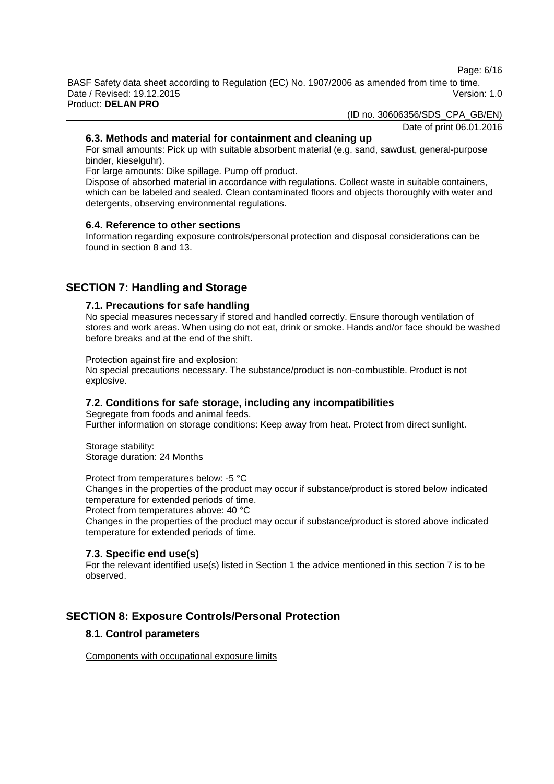Page: 6/16

BASF Safety data sheet according to Regulation (EC) No. 1907/2006 as amended from time to time. Date / Revised: 19.12.2015 Version: 1.0 Product: **DELAN PRO**

(ID no. 30606356/SDS\_CPA\_GB/EN)

Date of print 06.01.2016

# **6.3. Methods and material for containment and cleaning up**

For small amounts: Pick up with suitable absorbent material (e.g. sand, sawdust, general-purpose binder, kieselguhr).

For large amounts: Dike spillage. Pump off product.

Dispose of absorbed material in accordance with regulations. Collect waste in suitable containers, which can be labeled and sealed. Clean contaminated floors and objects thoroughly with water and detergents, observing environmental regulations.

# **6.4. Reference to other sections**

Information regarding exposure controls/personal protection and disposal considerations can be found in section 8 and 13.

# **SECTION 7: Handling and Storage**

# **7.1. Precautions for safe handling**

No special measures necessary if stored and handled correctly. Ensure thorough ventilation of stores and work areas. When using do not eat, drink or smoke. Hands and/or face should be washed before breaks and at the end of the shift.

Protection against fire and explosion:

No special precautions necessary. The substance/product is non-combustible. Product is not explosive.

# **7.2. Conditions for safe storage, including any incompatibilities**

Segregate from foods and animal feeds. Further information on storage conditions: Keep away from heat. Protect from direct sunlight.

Storage stability: Storage duration: 24 Months

Protect from temperatures below: -5 °C

Changes in the properties of the product may occur if substance/product is stored below indicated temperature for extended periods of time.

Protect from temperatures above: 40 °C

Changes in the properties of the product may occur if substance/product is stored above indicated temperature for extended periods of time.

# **7.3. Specific end use(s)**

For the relevant identified use(s) listed in Section 1 the advice mentioned in this section 7 is to be observed.

# **SECTION 8: Exposure Controls/Personal Protection**

# **8.1. Control parameters**

Components with occupational exposure limits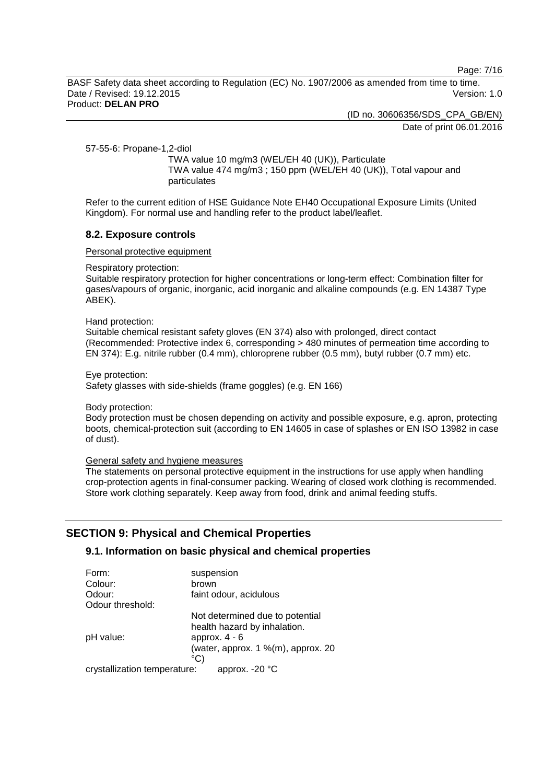Page: 7/16

BASF Safety data sheet according to Regulation (EC) No. 1907/2006 as amended from time to time. Date / Revised: 19.12.2015 Version: 1.0 Product: **DELAN PRO**

(ID no. 30606356/SDS\_CPA\_GB/EN)

Date of print 06.01.2016

57-55-6: Propane-1,2-diol

TWA value 10 mg/m3 (WEL/EH 40 (UK)), Particulate TWA value 474 mg/m3 ; 150 ppm (WEL/EH 40 (UK)), Total vapour and particulates

Refer to the current edition of HSE Guidance Note EH40 Occupational Exposure Limits (United Kingdom). For normal use and handling refer to the product label/leaflet.

#### **8.2. Exposure controls**

Personal protective equipment

Respiratory protection:

Suitable respiratory protection for higher concentrations or long-term effect: Combination filter for gases/vapours of organic, inorganic, acid inorganic and alkaline compounds (e.g. EN 14387 Type ABEK).

#### Hand protection:

Suitable chemical resistant safety gloves (EN 374) also with prolonged, direct contact (Recommended: Protective index 6, corresponding > 480 minutes of permeation time according to EN 374): E.g. nitrile rubber (0.4 mm), chloroprene rubber (0.5 mm), butyl rubber (0.7 mm) etc.

Eye protection:

Safety glasses with side-shields (frame goggles) (e.g. EN 166)

Body protection:

Body protection must be chosen depending on activity and possible exposure, e.g. apron, protecting boots, chemical-protection suit (according to EN 14605 in case of splashes or EN ISO 13982 in case of dust).

# General safety and hygiene measures

The statements on personal protective equipment in the instructions for use apply when handling crop-protection agents in final-consumer packing. Wearing of closed work clothing is recommended. Store work clothing separately. Keep away from food, drink and animal feeding stuffs.

# **SECTION 9: Physical and Chemical Properties**

# **9.1. Information on basic physical and chemical properties**

| Form:                        | suspension                         |
|------------------------------|------------------------------------|
| Colour:                      | brown                              |
| Odour:                       | faint odour, acidulous             |
| Odour threshold:             |                                    |
|                              | Not determined due to potential    |
|                              | health hazard by inhalation.       |
| pH value:                    | approx. $4 - 6$                    |
|                              | (water, approx. 1 %(m), approx. 20 |
|                              | °C)                                |
| crystallization temperature: | approx. $-20$ °C                   |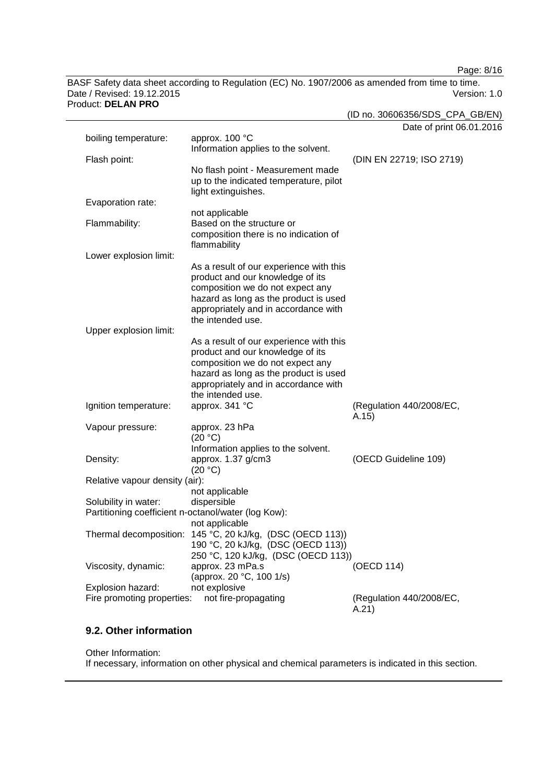Page: 8/16

BASF Safety data sheet according to Regulation (EC) No. 1907/2006 as amended from time to time. Date / Revised: 19.12.2015 Product: **DELAN PRO**

| NUULL DLLAIN FINV                                                           |                                                                                                                                                                                                                       | (ID no. 30606356/SDS_CPA_GB/EN)   |
|-----------------------------------------------------------------------------|-----------------------------------------------------------------------------------------------------------------------------------------------------------------------------------------------------------------------|-----------------------------------|
| boiling temperature:                                                        | approx. 100 °C                                                                                                                                                                                                        | Date of print 06.01.2016          |
| Flash point:                                                                | Information applies to the solvent.                                                                                                                                                                                   | (DIN EN 22719; ISO 2719)          |
|                                                                             | No flash point - Measurement made<br>up to the indicated temperature, pilot<br>light extinguishes.                                                                                                                    |                                   |
| Evaporation rate:                                                           |                                                                                                                                                                                                                       |                                   |
| Flammability:                                                               | not applicable<br>Based on the structure or<br>composition there is no indication of<br>flammability                                                                                                                  |                                   |
| Lower explosion limit:                                                      |                                                                                                                                                                                                                       |                                   |
|                                                                             | As a result of our experience with this<br>product and our knowledge of its<br>composition we do not expect any<br>hazard as long as the product is used<br>appropriately and in accordance with<br>the intended use. |                                   |
| Upper explosion limit:                                                      | As a result of our experience with this                                                                                                                                                                               |                                   |
|                                                                             | product and our knowledge of its<br>composition we do not expect any<br>hazard as long as the product is used<br>appropriately and in accordance with<br>the intended use.                                            |                                   |
| Ignition temperature:                                                       | approx. 341 °C                                                                                                                                                                                                        | (Regulation 440/2008/EC,<br>A.15) |
| Vapour pressure:                                                            | approx. 23 hPa<br>(20 °C)                                                                                                                                                                                             |                                   |
| Density:                                                                    | Information applies to the solvent.<br>approx. 1.37 g/cm3<br>(20 °C)                                                                                                                                                  | (OECD Guideline 109)              |
| Relative vapour density (air):                                              |                                                                                                                                                                                                                       |                                   |
| Solubility in water:<br>Partitioning coefficient n-octanol/water (log Kow): | not applicable<br>dispersible                                                                                                                                                                                         |                                   |
| Thermal decomposition:                                                      | not applicable<br>145 °C, 20 kJ/kg, (DSC (OECD 113))<br>190 °C, 20 kJ/kg, (DSC (OECD 113))<br>250 °C, 120 kJ/kg, (DSC (OECD 113))                                                                                     |                                   |
| Viscosity, dynamic:                                                         | approx. 23 mPa.s<br>(approx. 20 °C, 100 1/s)                                                                                                                                                                          | (OECD 114)                        |
| Explosion hazard:                                                           | not explosive                                                                                                                                                                                                         |                                   |
| Fire promoting properties:                                                  | not fire-propagating                                                                                                                                                                                                  | (Regulation 440/2008/EC,<br>A.21) |

# **9.2. Other information**

Other Information: If necessary, information on other physical and chemical parameters is indicated in this section.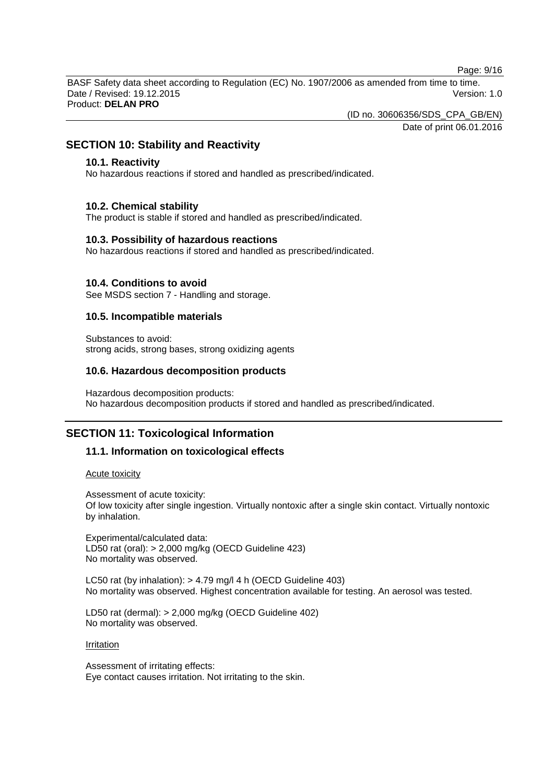Page: 9/16

BASF Safety data sheet according to Regulation (EC) No. 1907/2006 as amended from time to time. Date / Revised: 19.12.2015 Version: 1.0 Product: **DELAN PRO**

(ID no. 30606356/SDS\_CPA\_GB/EN)

Date of print 06.01.2016

# **SECTION 10: Stability and Reactivity**

#### **10.1. Reactivity**

No hazardous reactions if stored and handled as prescribed/indicated.

#### **10.2. Chemical stability**

The product is stable if stored and handled as prescribed/indicated.

#### **10.3. Possibility of hazardous reactions**

No hazardous reactions if stored and handled as prescribed/indicated.

#### **10.4. Conditions to avoid**

See MSDS section 7 - Handling and storage.

#### **10.5. Incompatible materials**

Substances to avoid: strong acids, strong bases, strong oxidizing agents

#### **10.6. Hazardous decomposition products**

Hazardous decomposition products: No hazardous decomposition products if stored and handled as prescribed/indicated.

# **SECTION 11: Toxicological Information**

#### **11.1. Information on toxicological effects**

Acute toxicity

Assessment of acute toxicity: Of low toxicity after single ingestion. Virtually nontoxic after a single skin contact. Virtually nontoxic by inhalation.

Experimental/calculated data: LD50 rat (oral): > 2,000 mg/kg (OECD Guideline 423) No mortality was observed.

LC50 rat (by inhalation): > 4.79 mg/l 4 h (OECD Guideline 403) No mortality was observed. Highest concentration available for testing. An aerosol was tested.

LD50 rat (dermal): > 2,000 mg/kg (OECD Guideline 402) No mortality was observed.

#### **Irritation**

Assessment of irritating effects: Eye contact causes irritation. Not irritating to the skin.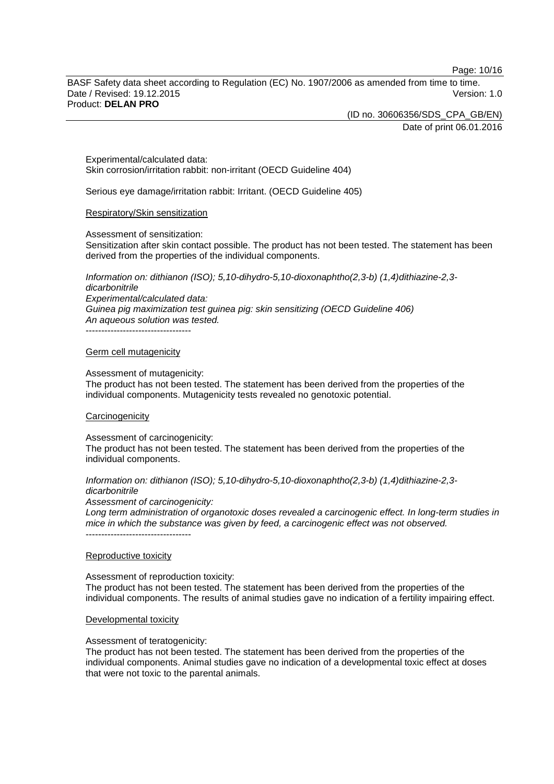Page: 10/16

BASF Safety data sheet according to Regulation (EC) No. 1907/2006 as amended from time to time. Date / Revised: 19.12.2015 Version: 1.0 Product: **DELAN PRO**

(ID no. 30606356/SDS\_CPA\_GB/EN)

Date of print 06.01.2016

Experimental/calculated data: Skin corrosion/irritation rabbit: non-irritant (OECD Guideline 404)

Serious eye damage/irritation rabbit: Irritant. (OECD Guideline 405)

#### Respiratory/Skin sensitization

Assessment of sensitization:

Sensitization after skin contact possible. The product has not been tested. The statement has been derived from the properties of the individual components.

*Information on: dithianon (ISO); 5,10-dihydro-5,10-dioxonaphtho(2,3-b) (1,4)dithiazine-2,3 dicarbonitrile Experimental/calculated data: Guinea pig maximization test guinea pig: skin sensitizing (OECD Guideline 406) An aqueous solution was tested.* ----------------------------------

# Germ cell mutagenicity

Assessment of mutagenicity:

The product has not been tested. The statement has been derived from the properties of the individual components. Mutagenicity tests revealed no genotoxic potential.

#### **Carcinogenicity**

Assessment of carcinogenicity:

The product has not been tested. The statement has been derived from the properties of the individual components.

*Information on: dithianon (ISO); 5,10-dihydro-5,10-dioxonaphtho(2,3-b) (1,4)dithiazine-2,3 dicarbonitrile*

*Assessment of carcinogenicity:*

*Long term administration of organotoxic doses revealed a carcinogenic effect. In long-term studies in mice in which the substance was given by feed, a carcinogenic effect was not observed.*

----------------------------------

#### Reproductive toxicity

Assessment of reproduction toxicity: The product has not been tested. The statement has been derived from the properties of the individual components. The results of animal studies gave no indication of a fertility impairing effect.

#### Developmental toxicity

Assessment of teratogenicity:

The product has not been tested. The statement has been derived from the properties of the individual components. Animal studies gave no indication of a developmental toxic effect at doses that were not toxic to the parental animals.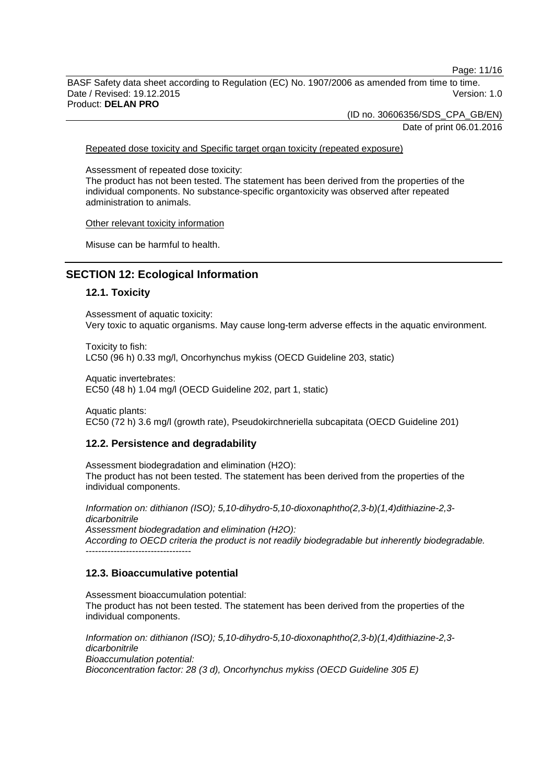Page: 11/16

BASF Safety data sheet according to Regulation (EC) No. 1907/2006 as amended from time to time. Date / Revised: 19.12.2015 Version: 1.0 Product: **DELAN PRO**

(ID no. 30606356/SDS\_CPA\_GB/EN)

Date of print 06.01.2016

Repeated dose toxicity and Specific target organ toxicity (repeated exposure)

Assessment of repeated dose toxicity:

The product has not been tested. The statement has been derived from the properties of the individual components. No substance-specific organtoxicity was observed after repeated administration to animals.

Other relevant toxicity information

Misuse can be harmful to health.

# **SECTION 12: Ecological Information**

#### **12.1. Toxicity**

Assessment of aquatic toxicity: Very toxic to aquatic organisms. May cause long-term adverse effects in the aquatic environment.

Toxicity to fish: LC50 (96 h) 0.33 mg/l, Oncorhynchus mykiss (OECD Guideline 203, static)

Aquatic invertebrates: EC50 (48 h) 1.04 mg/l (OECD Guideline 202, part 1, static)

Aquatic plants: EC50 (72 h) 3.6 mg/l (growth rate), Pseudokirchneriella subcapitata (OECD Guideline 201)

# **12.2. Persistence and degradability**

Assessment biodegradation and elimination (H2O): The product has not been tested. The statement has been derived from the properties of the individual components.

*Information on: dithianon (ISO); 5,10-dihydro-5,10-dioxonaphtho(2,3-b)(1,4)dithiazine-2,3 dicarbonitrile*

*Assessment biodegradation and elimination (H2O): According to OECD criteria the product is not readily biodegradable but inherently biodegradable.* ----------------------------------

#### **12.3. Bioaccumulative potential**

Assessment bioaccumulation potential: The product has not been tested. The statement has been derived from the properties of the individual components.

*Information on: dithianon (ISO); 5,10-dihydro-5,10-dioxonaphtho(2,3-b)(1,4)dithiazine-2,3 dicarbonitrile Bioaccumulation potential: Bioconcentration factor: 28 (3 d), Oncorhynchus mykiss (OECD Guideline 305 E)*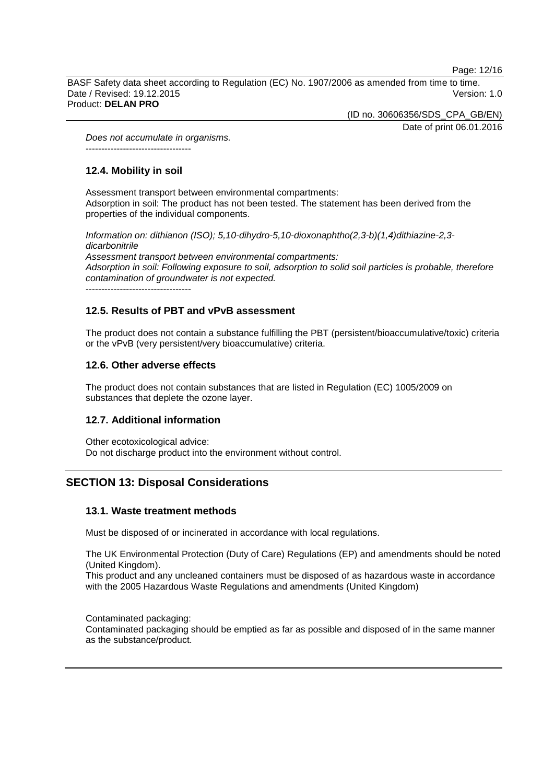Page: 12/16

BASF Safety data sheet according to Regulation (EC) No. 1907/2006 as amended from time to time. Date / Revised: 19.12.2015 Version: 1.0 Product: **DELAN PRO**

(ID no. 30606356/SDS\_CPA\_GB/EN)

Date of print 06.01.2016

*Does not accumulate in organisms.* ----------------------------------

# **12.4. Mobility in soil**

Assessment transport between environmental compartments: Adsorption in soil: The product has not been tested. The statement has been derived from the properties of the individual components.

*Information on: dithianon (ISO); 5,10-dihydro-5,10-dioxonaphtho(2,3-b)(1,4)dithiazine-2,3 dicarbonitrile Assessment transport between environmental compartments: Adsorption in soil: Following exposure to soil, adsorption to solid soil particles is probable, therefore contamination of groundwater is not expected.*

----------------------------------

# **12.5. Results of PBT and vPvB assessment**

The product does not contain a substance fulfilling the PBT (persistent/bioaccumulative/toxic) criteria or the vPvB (very persistent/very bioaccumulative) criteria.

# **12.6. Other adverse effects**

The product does not contain substances that are listed in Regulation (EC) 1005/2009 on substances that deplete the ozone layer.

# **12.7. Additional information**

Other ecotoxicological advice: Do not discharge product into the environment without control.

# **SECTION 13: Disposal Considerations**

# **13.1. Waste treatment methods**

Must be disposed of or incinerated in accordance with local regulations.

The UK Environmental Protection (Duty of Care) Regulations (EP) and amendments should be noted (United Kingdom).

This product and any uncleaned containers must be disposed of as hazardous waste in accordance with the 2005 Hazardous Waste Regulations and amendments (United Kingdom)

Contaminated packaging: Contaminated packaging should be emptied as far as possible and disposed of in the same manner as the substance/product.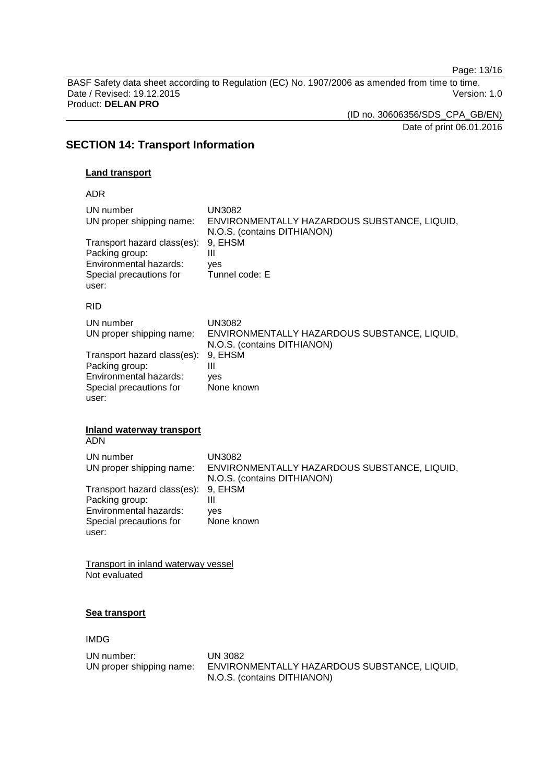Page: 13/16

BASF Safety data sheet according to Regulation (EC) No. 1907/2006 as amended from time to time. Date / Revised: 19.12.2015 Product: **DELAN PRO**

(ID no. 30606356/SDS\_CPA\_GB/EN)

Date of print 06.01.2016

# **SECTION 14: Transport Information**

#### **Land transport**

ADR

| UN number<br>UN proper shipping name: | <b>UN3082</b><br>ENVIRONMENTALLY HAZARDOUS SUBSTANCE, LIQUID,<br>N.O.S. (contains DITHIANON) |
|---------------------------------------|----------------------------------------------------------------------------------------------|
| Transport hazard class(es):           | 9. EHSM                                                                                      |
| Packing group:                        | Ш                                                                                            |
| Environmental hazards:                | yes                                                                                          |
| Special precautions for               | Tunnel code: E                                                                               |
| user:                                 |                                                                                              |
| <b>RID</b>                            |                                                                                              |
| UN number                             | <b>UN3082</b>                                                                                |
| UN proper shipping name:              | ENVIRONMENTALLY HAZARDOUS SUBSTANCE, LIQUID,                                                 |
|                                       | N.O.S. (contains DITHIANON)                                                                  |
| Tranenort hazard claee(ee).           | EHSM<br>Q                                                                                    |

Transport hazard class(es): 9, EHSM<br>Packing group: III Packing group: III Environmental hazards: yes Special precautions for user: None known

# **Inland waterway transport**

ADN

| UN number<br>UN proper shipping name: | UN3082<br>ENVIRONMENTALLY HAZARDOUS SUBSTANCE, LIQUID,<br>N.O.S. (contains DITHIANON) |
|---------------------------------------|---------------------------------------------------------------------------------------|
| Transport hazard class(es): 9, EHSM   |                                                                                       |
| Packing group:                        | Ш                                                                                     |
| Environmental hazards:                | ves                                                                                   |
| Special precautions for               | None known                                                                            |
| user:                                 |                                                                                       |

Transport in inland waterway vessel Not evaluated

# **Sea transport**

IMDG

| UN number:               | UN 3082                                      |
|--------------------------|----------------------------------------------|
| UN proper shipping name: | ENVIRONMENTALLY HAZARDOUS SUBSTANCE, LIQUID, |
|                          | N.O.S. (contains DITHIANON)                  |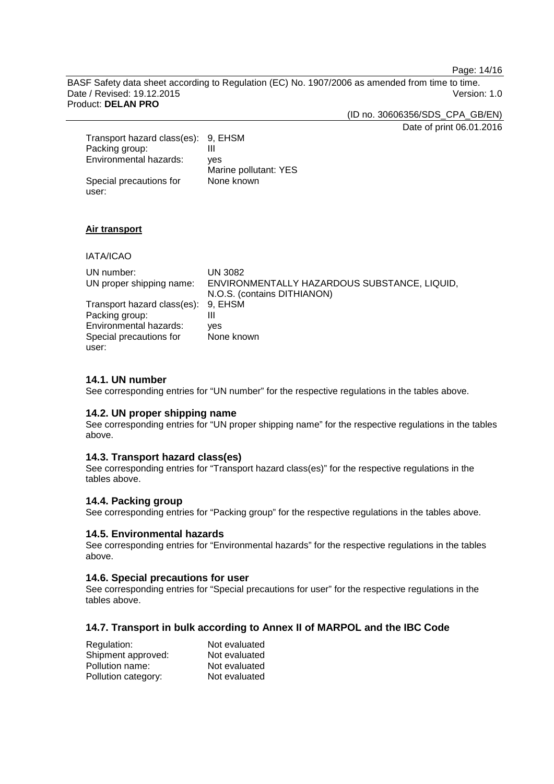Page: 14/16

BASF Safety data sheet according to Regulation (EC) No. 1907/2006 as amended from time to time. Date / Revised: 19.12.2015 Version: 1.0 Product: **DELAN PRO**

(ID no. 30606356/SDS\_CPA\_GB/EN)

Date of print 06.01.2016

| Transport hazard class(es): 9, EHSM<br>Packing group: |                       |
|-------------------------------------------------------|-----------------------|
| Environmental hazards:                                | ves                   |
|                                                       | Marine pollutant: YES |
| Special precautions for                               | None known            |
| user:                                                 |                       |

#### **Air transport**

IATA/ICAO UN number: UN 3082<br>UN proper shipping name: ENVIRON ENVIRONMENTALLY HAZARDOUS SUBSTANCE, LIQUID, N.O.S. (contains DITHIANON) Transport hazard class(es): 9, EHSM Packing group: III Environmental hazards: yes Special precautions for user: None known

#### **14.1. UN number**

See corresponding entries for "UN number" for the respective regulations in the tables above.

#### **14.2. UN proper shipping name**

See corresponding entries for "UN proper shipping name" for the respective regulations in the tables above.

#### **14.3. Transport hazard class(es)**

See corresponding entries for "Transport hazard class(es)" for the respective regulations in the tables above.

#### **14.4. Packing group**

See corresponding entries for "Packing group" for the respective regulations in the tables above.

#### **14.5. Environmental hazards**

See corresponding entries for "Environmental hazards" for the respective regulations in the tables above.

#### **14.6. Special precautions for user**

See corresponding entries for "Special precautions for user" for the respective regulations in the tables above.

#### **14.7. Transport in bulk according to Annex II of MARPOL and the IBC Code**

| Regulation:         | Not evaluated |
|---------------------|---------------|
| Shipment approved:  | Not evaluated |
| Pollution name:     | Not evaluated |
| Pollution category: | Not evaluated |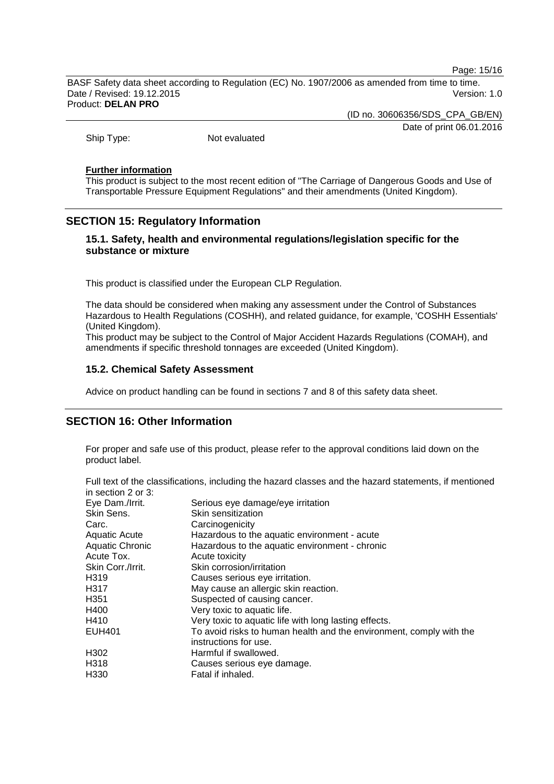Page: 15/16

BASF Safety data sheet according to Regulation (EC) No. 1907/2006 as amended from time to time. Date / Revised: 19.12.2015 Version: 1.0 Product: **DELAN PRO**

(ID no. 30606356/SDS\_CPA\_GB/EN)

Date of print 06.01.2016

Ship Type: Not evaluated

#### **Further information**

This product is subject to the most recent edition of "The Carriage of Dangerous Goods and Use of Transportable Pressure Equipment Regulations" and their amendments (United Kingdom).

# **SECTION 15: Regulatory Information**

# **15.1. Safety, health and environmental regulations/legislation specific for the substance or mixture**

This product is classified under the European CLP Regulation.

The data should be considered when making any assessment under the Control of Substances Hazardous to Health Regulations (COSHH), and related guidance, for example, 'COSHH Essentials' (United Kingdom).

This product may be subject to the Control of Major Accident Hazards Regulations (COMAH), and amendments if specific threshold tonnages are exceeded (United Kingdom).

#### **15.2. Chemical Safety Assessment**

Advice on product handling can be found in sections 7 and 8 of this safety data sheet.

# **SECTION 16: Other Information**

For proper and safe use of this product, please refer to the approval conditions laid down on the product label.

| Full text of the classifications, including the hazard classes and the hazard statements, if mentioned |  |  |
|--------------------------------------------------------------------------------------------------------|--|--|
| in section 2 or 3:                                                                                     |  |  |

| Eye Dam./Irrit.        | Serious eye damage/eye irritation                                   |
|------------------------|---------------------------------------------------------------------|
| Skin Sens.             | Skin sensitization                                                  |
| Carc.                  | Carcinogenicity                                                     |
| <b>Aquatic Acute</b>   | Hazardous to the aquatic environment - acute                        |
| <b>Aquatic Chronic</b> | Hazardous to the aquatic environment - chronic                      |
| Acute Tox.             | Acute toxicity                                                      |
| Skin Corr./Irrit.      | Skin corrosion/irritation                                           |
| H319                   | Causes serious eye irritation.                                      |
| H317                   | May cause an allergic skin reaction.                                |
| H <sub>351</sub>       | Suspected of causing cancer.                                        |
| H400                   | Very toxic to aquatic life.                                         |
| H410                   | Very toxic to aquatic life with long lasting effects.               |
| <b>EUH401</b>          | To avoid risks to human health and the environment, comply with the |
|                        | instructions for use.                                               |
| H302                   | Harmful if swallowed.                                               |
| H318                   | Causes serious eye damage.                                          |
| H330                   | Fatal if inhaled.                                                   |
|                        |                                                                     |